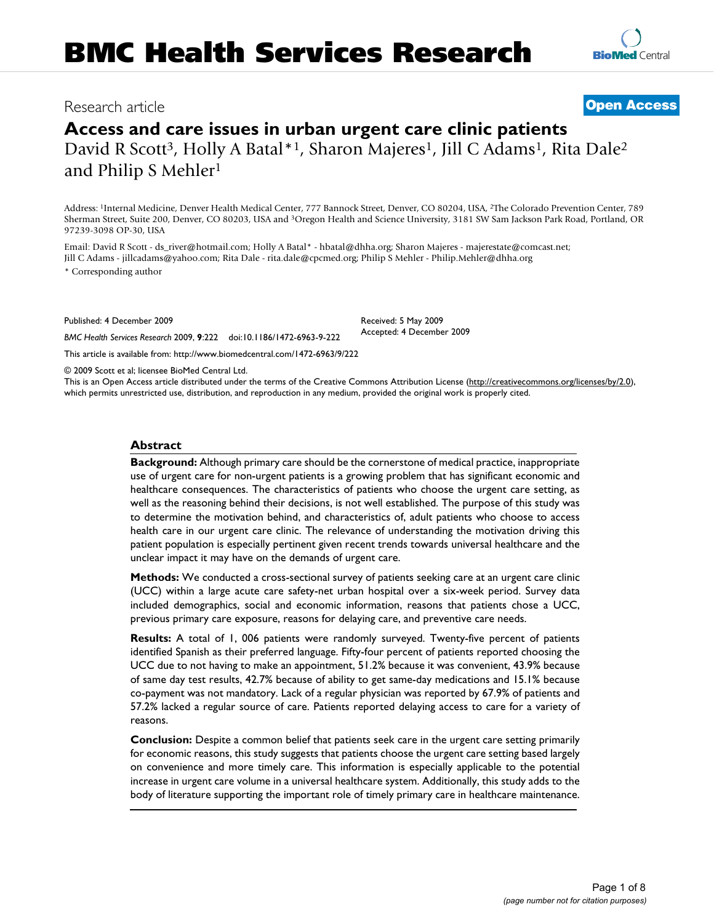# Research article **[Open Access](http://www.biomedcentral.com/info/about/charter/)**

# **Access and care issues in urban urgent care clinic patients** David R Scott<sup>3</sup>, Holly A Batal<sup>\*1</sup>, Sharon Majeres<sup>1</sup>, Jill C Adams<sup>1</sup>, Rita Dale<sup>2</sup> and Philip S Mehler1

Address: 1Internal Medicine, Denver Health Medical Center, 777 Bannock Street, Denver, CO 80204, USA, 2The Colorado Prevention Center, 789 Sherman Street, Suite 200, Denver, CO 80203, USA and 3Oregon Health and Science University, 3181 SW Sam Jackson Park Road, Portland, OR 97239-3098 OP-30, USA

Email: David R Scott - ds\_river@hotmail.com; Holly A Batal\* - hbatal@dhha.org; Sharon Majeres - majerestate@comcast.net; Jill C Adams - jillcadams@yahoo.com; Rita Dale - rita.dale@cpcmed.org; Philip S Mehler - Philip.Mehler@dhha.org

\* Corresponding author

Published: 4 December 2009

*BMC Health Services Research* 2009, **9**:222 doi:10.1186/1472-6963-9-222 [This article is available from: http://www.biomedcentral.com/1472-6963/9/222](http://www.biomedcentral.com/1472-6963/9/222)

Received: 5 May 2009 Accepted: 4 December 2009

© 2009 Scott et al; licensee BioMed Central Ltd.

This is an Open Access article distributed under the terms of the Creative Commons Attribution License [\(http://creativecommons.org/licenses/by/2.0\)](http://creativecommons.org/licenses/by/2.0), which permits unrestricted use, distribution, and reproduction in any medium, provided the original work is properly cited.

# **Abstract**

**Background:** Although primary care should be the cornerstone of medical practice, inappropriate use of urgent care for non-urgent patients is a growing problem that has significant economic and healthcare consequences. The characteristics of patients who choose the urgent care setting, as well as the reasoning behind their decisions, is not well established. The purpose of this study was to determine the motivation behind, and characteristics of, adult patients who choose to access health care in our urgent care clinic. The relevance of understanding the motivation driving this patient population is especially pertinent given recent trends towards universal healthcare and the unclear impact it may have on the demands of urgent care.

**Methods:** We conducted a cross-sectional survey of patients seeking care at an urgent care clinic (UCC) within a large acute care safety-net urban hospital over a six-week period. Survey data included demographics, social and economic information, reasons that patients chose a UCC, previous primary care exposure, reasons for delaying care, and preventive care needs.

**Results:** A total of 1, 006 patients were randomly surveyed. Twenty-five percent of patients identified Spanish as their preferred language. Fifty-four percent of patients reported choosing the UCC due to not having to make an appointment, 51.2% because it was convenient, 43.9% because of same day test results, 42.7% because of ability to get same-day medications and 15.1% because co-payment was not mandatory. Lack of a regular physician was reported by 67.9% of patients and 57.2% lacked a regular source of care. Patients reported delaying access to care for a variety of reasons.

**Conclusion:** Despite a common belief that patients seek care in the urgent care setting primarily for economic reasons, this study suggests that patients choose the urgent care setting based largely on convenience and more timely care. This information is especially applicable to the potential increase in urgent care volume in a universal healthcare system. Additionally, this study adds to the body of literature supporting the important role of timely primary care in healthcare maintenance.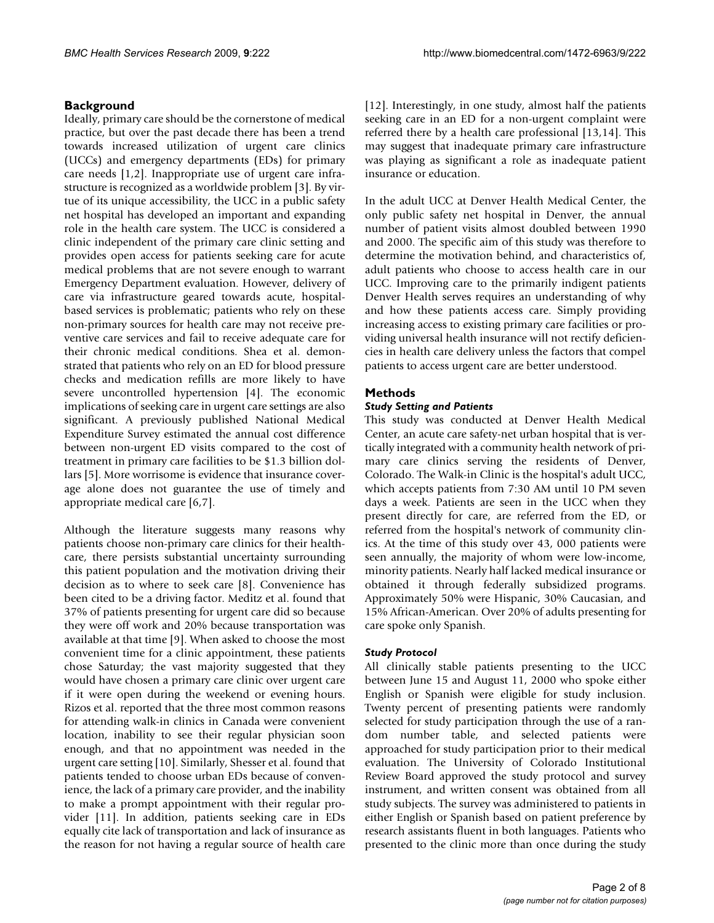# **Background**

Ideally, primary care should be the cornerstone of medical practice, but over the past decade there has been a trend towards increased utilization of urgent care clinics (UCCs) and emergency departments (EDs) for primary care needs [1,2]. Inappropriate use of urgent care infrastructure is recognized as a worldwide problem [3]. By virtue of its unique accessibility, the UCC in a public safety net hospital has developed an important and expanding role in the health care system. The UCC is considered a clinic independent of the primary care clinic setting and provides open access for patients seeking care for acute medical problems that are not severe enough to warrant Emergency Department evaluation. However, delivery of care via infrastructure geared towards acute, hospitalbased services is problematic; patients who rely on these non-primary sources for health care may not receive preventive care services and fail to receive adequate care for their chronic medical conditions. Shea et al. demonstrated that patients who rely on an ED for blood pressure checks and medication refills are more likely to have severe uncontrolled hypertension [4]. The economic implications of seeking care in urgent care settings are also significant. A previously published National Medical Expenditure Survey estimated the annual cost difference between non-urgent ED visits compared to the cost of treatment in primary care facilities to be \$1.3 billion dollars [5]. More worrisome is evidence that insurance coverage alone does not guarantee the use of timely and appropriate medical care [6,7].

Although the literature suggests many reasons why patients choose non-primary care clinics for their healthcare, there persists substantial uncertainty surrounding this patient population and the motivation driving their decision as to where to seek care [8]. Convenience has been cited to be a driving factor. Meditz et al. found that 37% of patients presenting for urgent care did so because they were off work and 20% because transportation was available at that time [9]. When asked to choose the most convenient time for a clinic appointment, these patients chose Saturday; the vast majority suggested that they would have chosen a primary care clinic over urgent care if it were open during the weekend or evening hours. Rizos et al. reported that the three most common reasons for attending walk-in clinics in Canada were convenient location, inability to see their regular physician soon enough, and that no appointment was needed in the urgent care setting [10]. Similarly, Shesser et al. found that patients tended to choose urban EDs because of convenience, the lack of a primary care provider, and the inability to make a prompt appointment with their regular provider [11]. In addition, patients seeking care in EDs equally cite lack of transportation and lack of insurance as the reason for not having a regular source of health care [12]. Interestingly, in one study, almost half the patients seeking care in an ED for a non-urgent complaint were referred there by a health care professional [13,14]. This may suggest that inadequate primary care infrastructure was playing as significant a role as inadequate patient insurance or education.

In the adult UCC at Denver Health Medical Center, the only public safety net hospital in Denver, the annual number of patient visits almost doubled between 1990 and 2000. The specific aim of this study was therefore to determine the motivation behind, and characteristics of, adult patients who choose to access health care in our UCC. Improving care to the primarily indigent patients Denver Health serves requires an understanding of why and how these patients access care. Simply providing increasing access to existing primary care facilities or providing universal health insurance will not rectify deficiencies in health care delivery unless the factors that compel patients to access urgent care are better understood.

# **Methods**

# *Study Setting and Patients*

This study was conducted at Denver Health Medical Center, an acute care safety-net urban hospital that is vertically integrated with a community health network of primary care clinics serving the residents of Denver, Colorado. The Walk-in Clinic is the hospital's adult UCC, which accepts patients from 7:30 AM until 10 PM seven days a week. Patients are seen in the UCC when they present directly for care, are referred from the ED, or referred from the hospital's network of community clinics. At the time of this study over 43, 000 patients were seen annually, the majority of whom were low-income, minority patients. Nearly half lacked medical insurance or obtained it through federally subsidized programs. Approximately 50% were Hispanic, 30% Caucasian, and 15% African-American. Over 20% of adults presenting for care spoke only Spanish.

# *Study Protocol*

All clinically stable patients presenting to the UCC between June 15 and August 11, 2000 who spoke either English or Spanish were eligible for study inclusion. Twenty percent of presenting patients were randomly selected for study participation through the use of a random number table, and selected patients were approached for study participation prior to their medical evaluation. The University of Colorado Institutional Review Board approved the study protocol and survey instrument, and written consent was obtained from all study subjects. The survey was administered to patients in either English or Spanish based on patient preference by research assistants fluent in both languages. Patients who presented to the clinic more than once during the study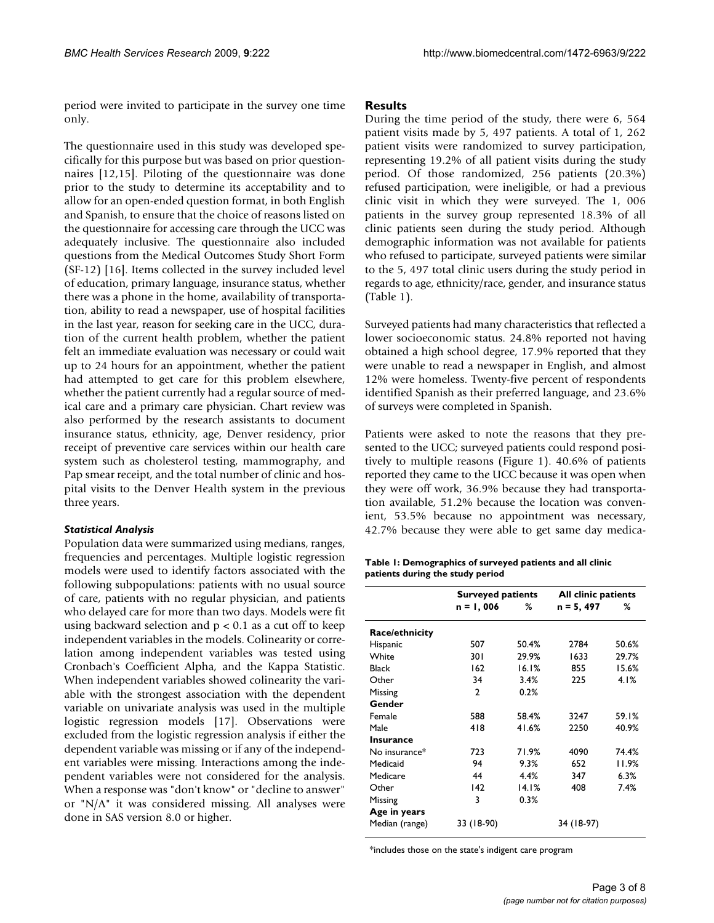period were invited to participate in the survey one time only.

The questionnaire used in this study was developed specifically for this purpose but was based on prior questionnaires [12,15]. Piloting of the questionnaire was done prior to the study to determine its acceptability and to allow for an open-ended question format, in both English and Spanish, to ensure that the choice of reasons listed on the questionnaire for accessing care through the UCC was adequately inclusive. The questionnaire also included questions from the Medical Outcomes Study Short Form (SF-12) [16]. Items collected in the survey included level of education, primary language, insurance status, whether there was a phone in the home, availability of transportation, ability to read a newspaper, use of hospital facilities in the last year, reason for seeking care in the UCC, duration of the current health problem, whether the patient felt an immediate evaluation was necessary or could wait up to 24 hours for an appointment, whether the patient had attempted to get care for this problem elsewhere, whether the patient currently had a regular source of medical care and a primary care physician. Chart review was also performed by the research assistants to document insurance status, ethnicity, age, Denver residency, prior receipt of preventive care services within our health care system such as cholesterol testing, mammography, and Pap smear receipt, and the total number of clinic and hospital visits to the Denver Health system in the previous three years.

# *Statistical Analysis*

Population data were summarized using medians, ranges, frequencies and percentages. Multiple logistic regression models were used to identify factors associated with the following subpopulations: patients with no usual source of care, patients with no regular physician, and patients who delayed care for more than two days. Models were fit using backward selection and p < 0.1 as a cut off to keep independent variables in the models. Colinearity or correlation among independent variables was tested using Cronbach's Coefficient Alpha, and the Kappa Statistic. When independent variables showed colinearity the variable with the strongest association with the dependent variable on univariate analysis was used in the multiple logistic regression models [17]. Observations were excluded from the logistic regression analysis if either the dependent variable was missing or if any of the independent variables were missing. Interactions among the independent variables were not considered for the analysis. When a response was "don't know" or "decline to answer" or "N/A" it was considered missing. All analyses were done in SAS version 8.0 or higher.

### **Results**

During the time period of the study, there were 6, 564 patient visits made by 5, 497 patients. A total of 1, 262 patient visits were randomized to survey participation, representing 19.2% of all patient visits during the study period. Of those randomized, 256 patients (20.3%) refused participation, were ineligible, or had a previous clinic visit in which they were surveyed. The 1, 006 patients in the survey group represented 18.3% of all clinic patients seen during the study period. Although demographic information was not available for patients who refused to participate, surveyed patients were similar to the 5, 497 total clinic users during the study period in regards to age, ethnicity/race, gender, and insurance status (Table 1).

Surveyed patients had many characteristics that reflected a lower socioeconomic status. 24.8% reported not having obtained a high school degree, 17.9% reported that they were unable to read a newspaper in English, and almost 12% were homeless. Twenty-five percent of respondents identified Spanish as their preferred language, and 23.6% of surveys were completed in Spanish.

Patients were asked to note the reasons that they presented to the UCC; surveyed patients could respond positively to multiple reasons (Figure 1). 40.6% of patients reported they came to the UCC because it was open when they were off work, 36.9% because they had transportation available, 51.2% because the location was convenient, 53.5% because no appointment was necessary, 42.7% because they were able to get same day medica-

#### **Table 1: Demographics of surveyed patients and all clinic patients during the study period**

|                | <b>Surveyed patients</b> |       | <b>All clinic patients</b> |       |
|----------------|--------------------------|-------|----------------------------|-------|
|                | n = 1, 006               | %     | $n = 5,497$                | ℅     |
|                |                          |       |                            |       |
| Race/ethnicity |                          |       |                            |       |
| Hispanic       | 507                      | 50.4% | 2784                       | 50.6% |
| White          | 30 I                     | 29.9% | 1633                       | 29.7% |
| Black          | 162                      | 16.1% | 855                        | 15.6% |
| Other          | 34                       | 3.4%  | 225                        | 4.1%  |
| Missing        | $\mathfrak{p}$           | 0.2%  |                            |       |
| Gender         |                          |       |                            |       |
| Female         | 588                      | 58.4% | 3247                       | 59.1% |
| Male           | 418                      | 41.6% | 2250                       | 40.9% |
| Insurance      |                          |       |                            |       |
| No insurance*  | 723                      | 71.9% | 4090                       | 74.4% |
| Medicaid       | 94                       | 9.3%  | 652                        | 11.9% |
| Medicare       | 44                       | 4.4%  | 347                        | 6.3%  |
| Other          | 142                      | 14.1% | 408                        | 7.4%  |
| Missing        | 3                        | 0.3%  |                            |       |
| Age in years   |                          |       |                            |       |
| Median (range) | 33 (18-90)               |       | 34 (18-97)                 |       |

\*includes those on the state's indigent care program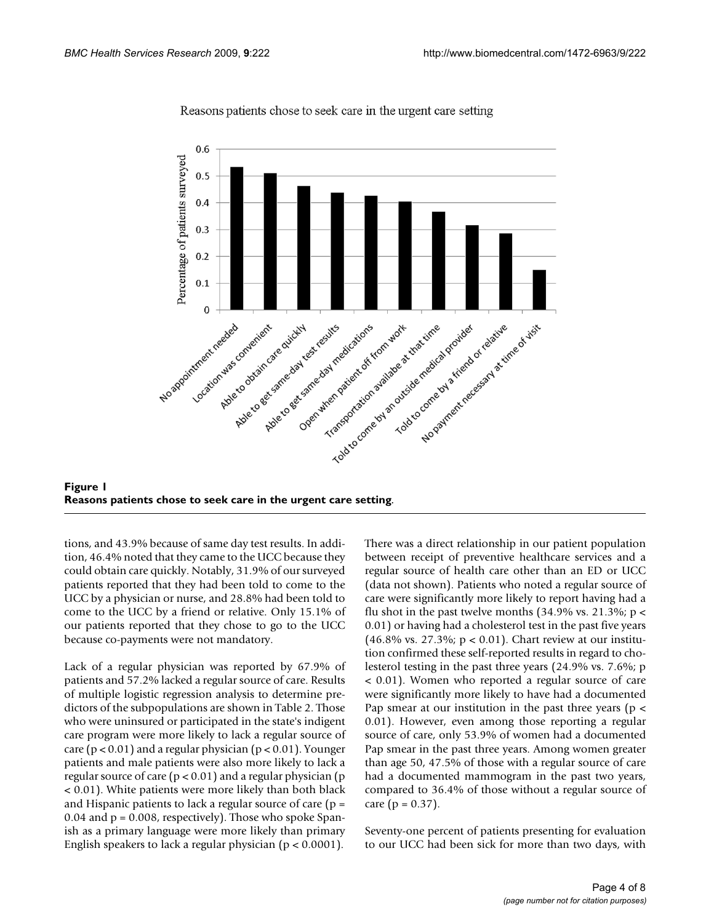

Reasons patients chose to seek care in the urgent care setting

**Reasons patients chose to seek care in the urgent care setting**.

tions, and 43.9% because of same day test results. In addition, 46.4% noted that they came to the UCC because they could obtain care quickly. Notably, 31.9% of our surveyed patients reported that they had been told to come to the UCC by a physician or nurse, and 28.8% had been told to come to the UCC by a friend or relative. Only 15.1% of our patients reported that they chose to go to the UCC because co-payments were not mandatory.

Lack of a regular physician was reported by 67.9% of patients and 57.2% lacked a regular source of care. Results of multiple logistic regression analysis to determine predictors of the subpopulations are shown in Table 2. Those who were uninsured or participated in the state's indigent care program were more likely to lack a regular source of care ( $p < 0.01$ ) and a regular physician ( $p < 0.01$ ). Younger patients and male patients were also more likely to lack a regular source of care ( $p < 0.01$ ) and a regular physician ( $p$ ) < 0.01). White patients were more likely than both black and Hispanic patients to lack a regular source of care (p = 0.04 and  $p = 0.008$ , respectively). Those who spoke Spanish as a primary language were more likely than primary English speakers to lack a regular physician ( $p < 0.0001$ ).

There was a direct relationship in our patient population between receipt of preventive healthcare services and a regular source of health care other than an ED or UCC (data not shown). Patients who noted a regular source of care were significantly more likely to report having had a flu shot in the past twelve months  $(34.9\% \text{ vs. } 21.3\%; \text{ p}$  < 0.01) or having had a cholesterol test in the past five years (46.8% vs. 27.3%; p < 0.01). Chart review at our institution confirmed these self-reported results in regard to cholesterol testing in the past three years (24.9% vs. 7.6%; p < 0.01). Women who reported a regular source of care were significantly more likely to have had a documented Pap smear at our institution in the past three years ( $p <$ 0.01). However, even among those reporting a regular source of care, only 53.9% of women had a documented Pap smear in the past three years. Among women greater than age 50, 47.5% of those with a regular source of care had a documented mammogram in the past two years, compared to 36.4% of those without a regular source of care  $(p = 0.37)$ .

Seventy-one percent of patients presenting for evaluation to our UCC had been sick for more than two days, with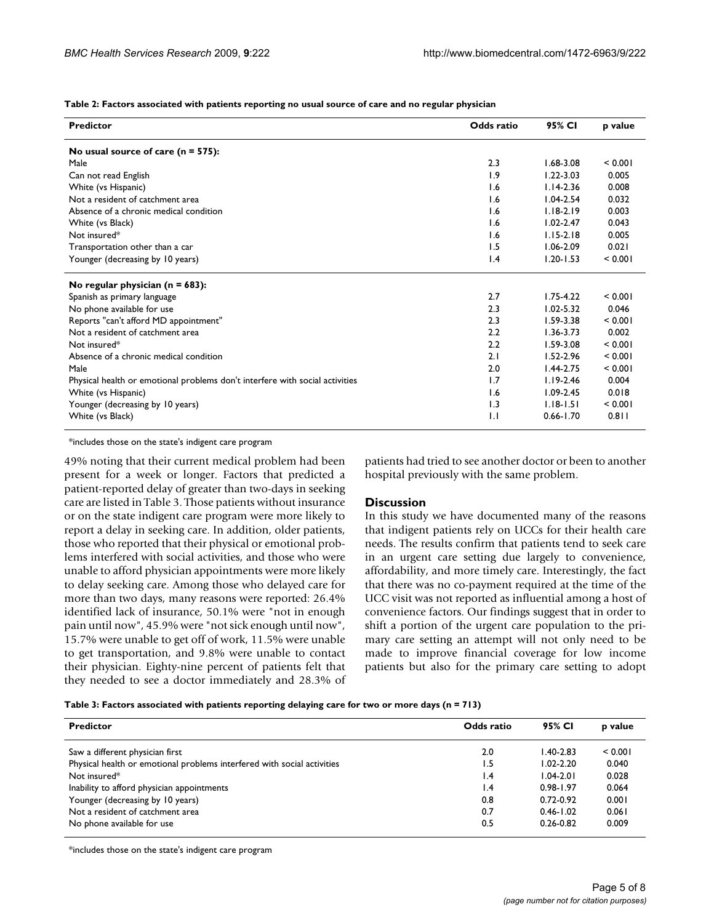#### **Table 2: Factors associated with patients reporting no usual source of care and no regular physician**

| <b>Predictor</b>                                                             | Odds ratio   | 95% CI        | p value |
|------------------------------------------------------------------------------|--------------|---------------|---------|
| No usual source of care ( $n = 575$ ):                                       |              |               |         |
| Male                                                                         | 2.3          | $1.68 - 3.08$ | < 0.001 |
| Can not read English                                                         | 1.9          | $1.22 - 3.03$ | 0.005   |
| White (vs Hispanic)                                                          | 1.6          | $1.14 - 2.36$ | 0.008   |
| Not a resident of catchment area                                             | 1.6          | $1.04 - 2.54$ | 0.032   |
| Absence of a chronic medical condition                                       | 1.6          | $1.18 - 2.19$ | 0.003   |
| White (vs Black)                                                             | 1.6          | $1.02 - 2.47$ | 0.043   |
| Not insured*                                                                 | 1.6          | $1.15 - 2.18$ | 0.005   |
| Transportation other than a car                                              | 1.5          | $1.06 - 2.09$ | 0.021   |
| Younger (decreasing by 10 years)                                             | 1.4          | $1.20 - 1.53$ | < 0.001 |
| No regular physician ( $n = 683$ ):                                          |              |               |         |
| Spanish as primary language                                                  | 2.7          | $1.75 - 4.22$ | < 0.001 |
| No phone available for use                                                   | 2.3          | $1.02 - 5.32$ | 0.046   |
| Reports "can't afford MD appointment"                                        | 2.3          | 1.59-3.38     | < 0.001 |
| Not a resident of catchment area                                             | 2.2          | $1.36 - 3.73$ | 0.002   |
| Not insured*                                                                 | 2.2          | $1.59 - 3.08$ | < 0.001 |
| Absence of a chronic medical condition                                       | 2.1          | $1.52 - 2.96$ | < 0.001 |
| Male                                                                         | 2.0          | $1.44 - 2.75$ | < 0.001 |
| Physical health or emotional problems don't interfere with social activities | 1.7          | $1.19 - 2.46$ | 0.004   |
| White (vs Hispanic)                                                          | 1.6          | $1.09 - 2.45$ | 0.018   |
| Younger (decreasing by 10 years)                                             | 1.3          | $1.18 - 1.51$ | < 0.001 |
| White (vs Black)                                                             | $\mathbf{L}$ | $0.66 - 1.70$ | 0.811   |

\*includes those on the state's indigent care program

49% noting that their current medical problem had been present for a week or longer. Factors that predicted a patient-reported delay of greater than two-days in seeking care are listed in Table 3. Those patients without insurance or on the state indigent care program were more likely to report a delay in seeking care. In addition, older patients, those who reported that their physical or emotional problems interfered with social activities, and those who were unable to afford physician appointments were more likely to delay seeking care. Among those who delayed care for more than two days, many reasons were reported: 26.4% identified lack of insurance, 50.1% were "not in enough pain until now", 45.9% were "not sick enough until now", 15.7% were unable to get off of work, 11.5% were unable to get transportation, and 9.8% were unable to contact their physician. Eighty-nine percent of patients felt that they needed to see a doctor immediately and 28.3% of patients had tried to see another doctor or been to another hospital previously with the same problem.

# **Discussion**

In this study we have documented many of the reasons that indigent patients rely on UCCs for their health care needs. The results confirm that patients tend to seek care in an urgent care setting due largely to convenience, affordability, and more timely care. Interestingly, the fact that there was no co-payment required at the time of the UCC visit was not reported as influential among a host of convenience factors. Our findings suggest that in order to shift a portion of the urgent care population to the primary care setting an attempt will not only need to be made to improve financial coverage for low income patients but also for the primary care setting to adopt

|  | Table 3: Factors associated with patients reporting delaying care for two or more days (n = 713) |  |
|--|--------------------------------------------------------------------------------------------------|--|
|--|--------------------------------------------------------------------------------------------------|--|

| <b>Predictor</b>                                                        | Odds ratio      | 95% CI        | p value |
|-------------------------------------------------------------------------|-----------------|---------------|---------|
| Saw a different physician first                                         | 2.0             | $1.40 - 2.83$ | 0.001   |
| Physical health or emotional problems interfered with social activities | 1.5             | $1.02 - 2.20$ | 0.040   |
| Not insured*                                                            | l.4             | $1.04 - 2.01$ | 0.028   |
| Inability to afford physician appointments                              | $\mathsf{I}$ .4 | $0.98 - 1.97$ | 0.064   |
| Younger (decreasing by 10 years)                                        | 0.8             | $0.72 - 0.92$ | 0.001   |
| Not a resident of catchment area                                        | 0.7             | $0.46 - 1.02$ | 0.061   |
| No phone available for use                                              | 0.5             | $0.26 - 0.82$ | 0.009   |

\*includes those on the state's indigent care program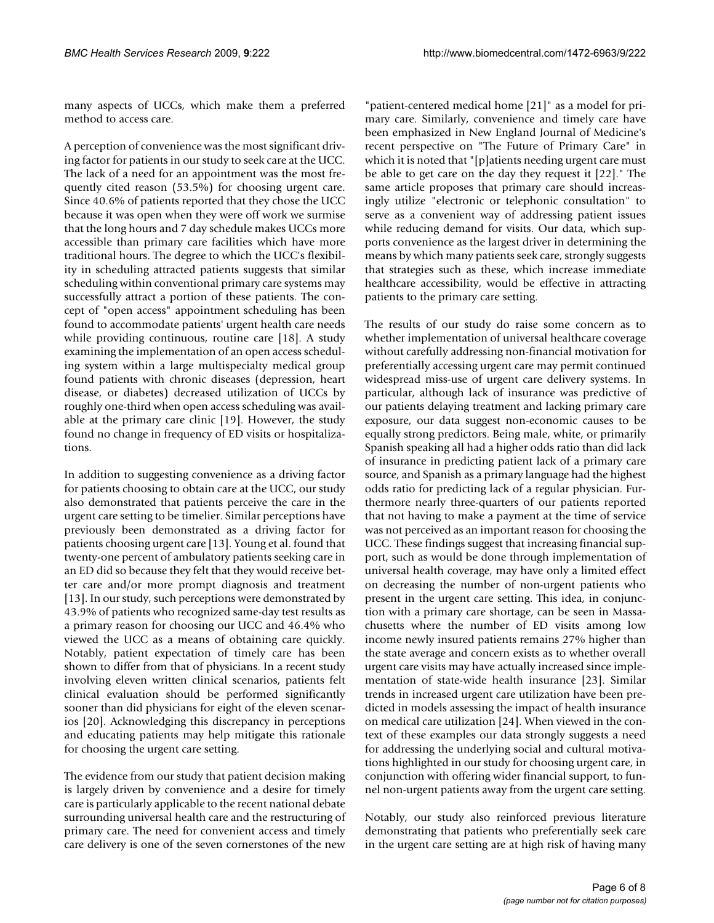many aspects of UCCs, which make them a preferred method to access care.

A perception of convenience was the most significant driving factor for patients in our study to seek care at the UCC. The lack of a need for an appointment was the most frequently cited reason (53.5%) for choosing urgent care. Since 40.6% of patients reported that they chose the UCC because it was open when they were off work we surmise that the long hours and 7 day schedule makes UCCs more accessible than primary care facilities which have more traditional hours. The degree to which the UCC's flexibility in scheduling attracted patients suggests that similar scheduling within conventional primary care systems may successfully attract a portion of these patients. The concept of "open access" appointment scheduling has been found to accommodate patients' urgent health care needs while providing continuous, routine care [18]. A study examining the implementation of an open access scheduling system within a large multispecialty medical group found patients with chronic diseases (depression, heart disease, or diabetes) decreased utilization of UCCs by roughly one-third when open access scheduling was available at the primary care clinic [19]. However, the study found no change in frequency of ED visits or hospitalizations.

In addition to suggesting convenience as a driving factor for patients choosing to obtain care at the UCC, our study also demonstrated that patients perceive the care in the urgent care setting to be timelier. Similar perceptions have previously been demonstrated as a driving factor for patients choosing urgent care [13]. Young et al. found that twenty-one percent of ambulatory patients seeking care in an ED did so because they felt that they would receive better care and/or more prompt diagnosis and treatment [13]. In our study, such perceptions were demonstrated by 43.9% of patients who recognized same-day test results as a primary reason for choosing our UCC and 46.4% who viewed the UCC as a means of obtaining care quickly. Notably, patient expectation of timely care has been shown to differ from that of physicians. In a recent study involving eleven written clinical scenarios, patients felt clinical evaluation should be performed significantly sooner than did physicians for eight of the eleven scenarios [20]. Acknowledging this discrepancy in perceptions and educating patients may help mitigate this rationale for choosing the urgent care setting.

The evidence from our study that patient decision making is largely driven by convenience and a desire for timely care is particularly applicable to the recent national debate surrounding universal health care and the restructuring of primary care. The need for convenient access and timely care delivery is one of the seven cornerstones of the new

"patient-centered medical home [21]" as a model for primary care. Similarly, convenience and timely care have been emphasized in New England Journal of Medicine's recent perspective on "The Future of Primary Care" in which it is noted that "[p]atients needing urgent care must be able to get care on the day they request it [22]." The same article proposes that primary care should increasingly utilize "electronic or telephonic consultation" to serve as a convenient way of addressing patient issues while reducing demand for visits. Our data, which supports convenience as the largest driver in determining the means by which many patients seek care, strongly suggests that strategies such as these, which increase immediate healthcare accessibility, would be effective in attracting patients to the primary care setting.

The results of our study do raise some concern as to whether implementation of universal healthcare coverage without carefully addressing non-financial motivation for preferentially accessing urgent care may permit continued widespread miss-use of urgent care delivery systems. In particular, although lack of insurance was predictive of our patients delaying treatment and lacking primary care exposure, our data suggest non-economic causes to be equally strong predictors. Being male, white, or primarily Spanish speaking all had a higher odds ratio than did lack of insurance in predicting patient lack of a primary care source, and Spanish as a primary language had the highest odds ratio for predicting lack of a regular physician. Furthermore nearly three-quarters of our patients reported that not having to make a payment at the time of service was not perceived as an important reason for choosing the UCC. These findings suggest that increasing financial support, such as would be done through implementation of universal health coverage, may have only a limited effect on decreasing the number of non-urgent patients who present in the urgent care setting. This idea, in conjunction with a primary care shortage, can be seen in Massachusetts where the number of ED visits among low income newly insured patients remains 27% higher than the state average and concern exists as to whether overall urgent care visits may have actually increased since implementation of state-wide health insurance [23]. Similar trends in increased urgent care utilization have been predicted in models assessing the impact of health insurance on medical care utilization [24]. When viewed in the context of these examples our data strongly suggests a need for addressing the underlying social and cultural motivations highlighted in our study for choosing urgent care, in conjunction with offering wider financial support, to funnel non-urgent patients away from the urgent care setting.

Notably, our study also reinforced previous literature demonstrating that patients who preferentially seek care in the urgent care setting are at high risk of having many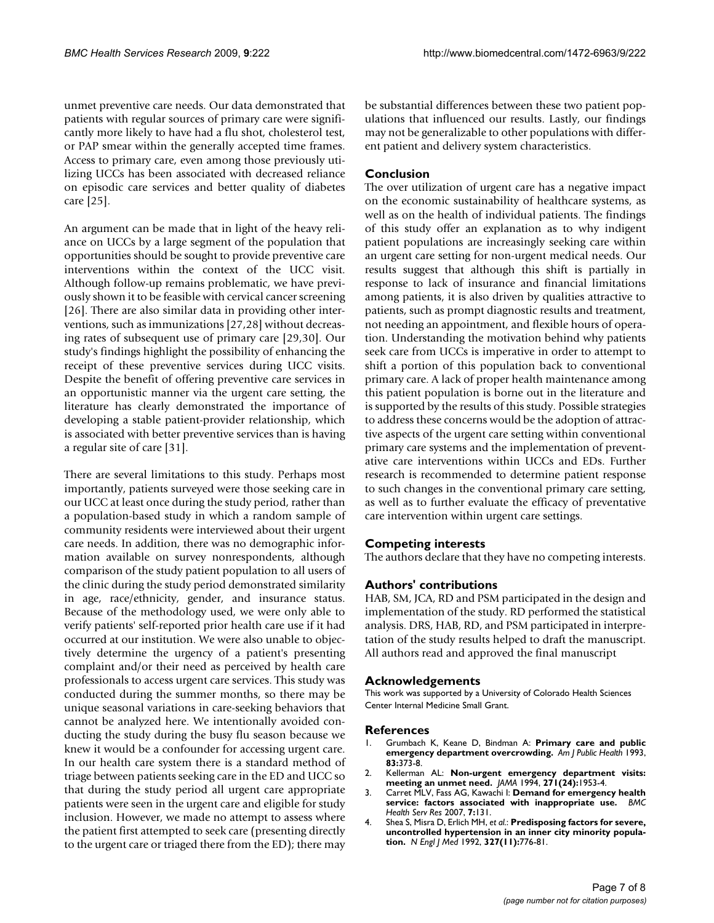unmet preventive care needs. Our data demonstrated that patients with regular sources of primary care were significantly more likely to have had a flu shot, cholesterol test, or PAP smear within the generally accepted time frames. Access to primary care, even among those previously utilizing UCCs has been associated with decreased reliance on episodic care services and better quality of diabetes care [25].

An argument can be made that in light of the heavy reliance on UCCs by a large segment of the population that opportunities should be sought to provide preventive care interventions within the context of the UCC visit. Although follow-up remains problematic, we have previously shown it to be feasible with cervical cancer screening [26]. There are also similar data in providing other interventions, such as immunizations [27,28] without decreasing rates of subsequent use of primary care [29,30]. Our study's findings highlight the possibility of enhancing the receipt of these preventive services during UCC visits. Despite the benefit of offering preventive care services in an opportunistic manner via the urgent care setting, the literature has clearly demonstrated the importance of developing a stable patient-provider relationship, which is associated with better preventive services than is having a regular site of care [31].

There are several limitations to this study. Perhaps most importantly, patients surveyed were those seeking care in our UCC at least once during the study period, rather than a population-based study in which a random sample of community residents were interviewed about their urgent care needs. In addition, there was no demographic information available on survey nonrespondents, although comparison of the study patient population to all users of the clinic during the study period demonstrated similarity in age, race/ethnicity, gender, and insurance status. Because of the methodology used, we were only able to verify patients' self-reported prior health care use if it had occurred at our institution. We were also unable to objectively determine the urgency of a patient's presenting complaint and/or their need as perceived by health care professionals to access urgent care services. This study was conducted during the summer months, so there may be unique seasonal variations in care-seeking behaviors that cannot be analyzed here. We intentionally avoided conducting the study during the busy flu season because we knew it would be a confounder for accessing urgent care. In our health care system there is a standard method of triage between patients seeking care in the ED and UCC so that during the study period all urgent care appropriate patients were seen in the urgent care and eligible for study inclusion. However, we made no attempt to assess where the patient first attempted to seek care (presenting directly to the urgent care or triaged there from the ED); there may

be substantial differences between these two patient populations that influenced our results. Lastly, our findings may not be generalizable to other populations with different patient and delivery system characteristics.

# **Conclusion**

The over utilization of urgent care has a negative impact on the economic sustainability of healthcare systems, as well as on the health of individual patients. The findings of this study offer an explanation as to why indigent patient populations are increasingly seeking care within an urgent care setting for non-urgent medical needs. Our results suggest that although this shift is partially in response to lack of insurance and financial limitations among patients, it is also driven by qualities attractive to patients, such as prompt diagnostic results and treatment, not needing an appointment, and flexible hours of operation. Understanding the motivation behind why patients seek care from UCCs is imperative in order to attempt to shift a portion of this population back to conventional primary care. A lack of proper health maintenance among this patient population is borne out in the literature and is supported by the results of this study. Possible strategies to address these concerns would be the adoption of attractive aspects of the urgent care setting within conventional primary care systems and the implementation of preventative care interventions within UCCs and EDs. Further research is recommended to determine patient response to such changes in the conventional primary care setting, as well as to further evaluate the efficacy of preventative care intervention within urgent care settings.

# **Competing interests**

The authors declare that they have no competing interests.

# **Authors' contributions**

HAB, SM, JCA, RD and PSM participated in the design and implementation of the study. RD performed the statistical analysis. DRS, HAB, RD, and PSM participated in interpretation of the study results helped to draft the manuscript. All authors read and approved the final manuscript

# **Acknowledgements**

This work was supported by a University of Colorado Health Sciences Center Internal Medicine Small Grant.

# **References**

- 1. Grumbach K, Keane D, Bindman A: **Primary care and public emergency department overcrowding.** *Am J Public Health* 1993, **83:**373-8.
- 2. Kellerman AL: **[Non-urgent emergency department visits:](http://www.ncbi.nlm.nih.gov/entrez/query.fcgi?cmd=Retrieve&db=PubMed&dopt=Abstract&list_uids=8201741) [meeting an unmet need.](http://www.ncbi.nlm.nih.gov/entrez/query.fcgi?cmd=Retrieve&db=PubMed&dopt=Abstract&list_uids=8201741)** *JAMA* 1994, **271(24):**1953-4.
- 3. Carret MLV, Fass AG, Kawachi I: **[Demand for emergency health](http://www.ncbi.nlm.nih.gov/entrez/query.fcgi?cmd=Retrieve&db=PubMed&dopt=Abstract&list_uids=17705873) [service: factors associated with inappropriate use.](http://www.ncbi.nlm.nih.gov/entrez/query.fcgi?cmd=Retrieve&db=PubMed&dopt=Abstract&list_uids=17705873)** *BMC Health Serv Res* 2007, **7:**131.
- 4. Shea S, Misra D, Erlich MH, *et al.*: **[Predisposing factors for severe,](http://www.ncbi.nlm.nih.gov/entrez/query.fcgi?cmd=Retrieve&db=PubMed&dopt=Abstract&list_uids=1501654) [uncontrolled hypertension in an inner city minority popula](http://www.ncbi.nlm.nih.gov/entrez/query.fcgi?cmd=Retrieve&db=PubMed&dopt=Abstract&list_uids=1501654)[tion.](http://www.ncbi.nlm.nih.gov/entrez/query.fcgi?cmd=Retrieve&db=PubMed&dopt=Abstract&list_uids=1501654)** *N Engl J Med* 1992, **327(11):**776-81.